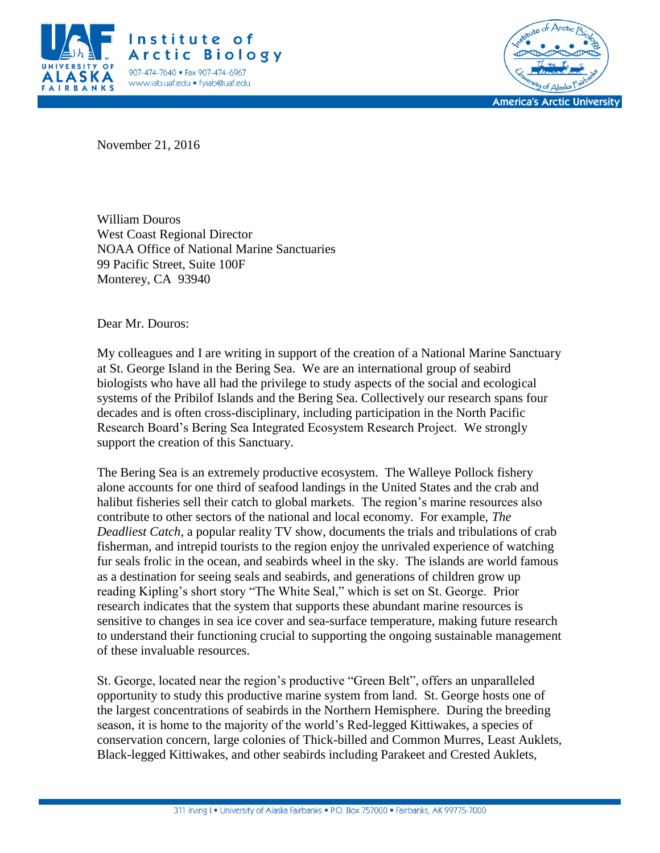



November 21, 2016

William Douros West Coast Regional Director NOAA Office of National Marine Sanctuaries 99 Pacific Street, Suite 100F Monterey, CA 93940

Dear Mr. Douros:

My colleagues and I are writing in support of the creation of a National Marine Sanctuary at St. George Island in the Bering Sea. We are an international group of seabird biologists who have all had the privilege to study aspects of the social and ecological systems of the Pribilof Islands and the Bering Sea. Collectively our research spans four decades and is often cross-disciplinary, including participation in the North Pacific Research Board's Bering Sea Integrated Ecosystem Research Project. We strongly support the creation of this Sanctuary.

The Bering Sea is an extremely productive ecosystem. The Walleye Pollock fishery alone accounts for one third of seafood landings in the United States and the crab and halibut fisheries sell their catch to global markets. The region's marine resources also contribute to other sectors of the national and local economy. For example, *The Deadliest Catch*, a popular reality TV show, documents the trials and tribulations of crab fisherman, and intrepid tourists to the region enjoy the unrivaled experience of watching fur seals frolic in the ocean, and seabirds wheel in the sky. The islands are world famous as a destination for seeing seals and seabirds, and generations of children grow up reading Kipling's short story "The White Seal," which is set on St. George. Prior research indicates that the system that supports these abundant marine resources is sensitive to changes in sea ice cover and sea-surface temperature, making future research to understand their functioning crucial to supporting the ongoing sustainable management of these invaluable resources.

St. George, located near the region's productive "Green Belt", offers an unparalleled opportunity to study this productive marine system from land. St. George hosts one of the largest concentrations of seabirds in the Northern Hemisphere. During the breeding season, it is home to the majority of the world's Red-legged Kittiwakes, a species of conservation concern, large colonies of Thick-billed and Common Murres, Least Auklets, Black-legged Kittiwakes, and other seabirds including Parakeet and Crested Auklets,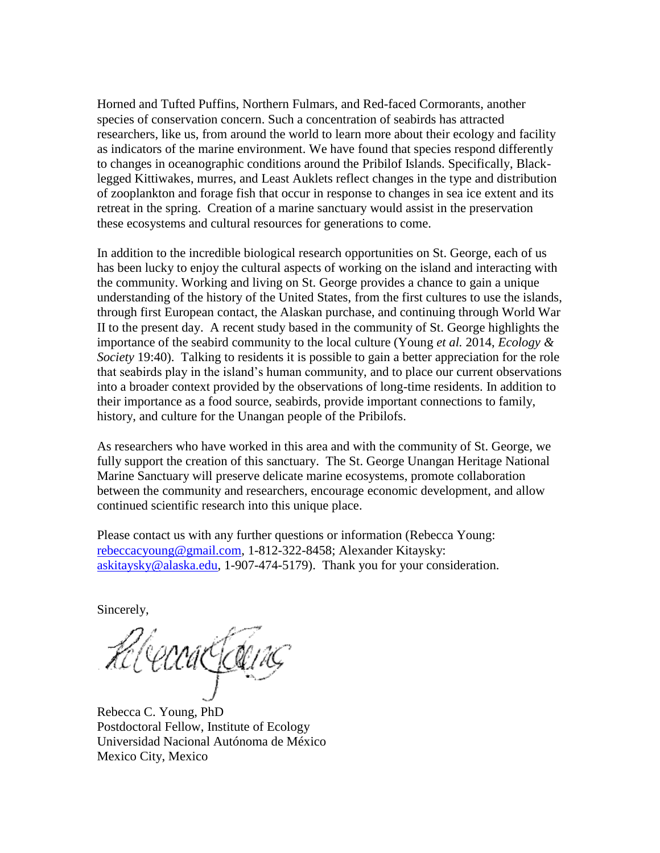Horned and Tufted Puffins, Northern Fulmars, and Red-faced Cormorants, another species of conservation concern. Such a concentration of seabirds has attracted researchers, like us, from around the world to learn more about their ecology and facility as indicators of the marine environment. We have found that species respond differently to changes in oceanographic conditions around the Pribilof Islands. Specifically, Blacklegged Kittiwakes, murres, and Least Auklets reflect changes in the type and distribution of zooplankton and forage fish that occur in response to changes in sea ice extent and its retreat in the spring. Creation of a marine sanctuary would assist in the preservation these ecosystems and cultural resources for generations to come.

In addition to the incredible biological research opportunities on St. George, each of us has been lucky to enjoy the cultural aspects of working on the island and interacting with the community. Working and living on St. George provides a chance to gain a unique understanding of the history of the United States, from the first cultures to use the islands, through first European contact, the Alaskan purchase, and continuing through World War II to the present day. A recent study based in the community of St. George highlights the importance of the seabird community to the local culture (Young *et al.* 2014, *Ecology & Society* 19:40). Talking to residents it is possible to gain a better appreciation for the role that seabirds play in the island's human community, and to place our current observations into a broader context provided by the observations of long-time residents. In addition to their importance as a food source, seabirds, provide important connections to family, history, and culture for the Unangan people of the Pribilofs.

As researchers who have worked in this area and with the community of St. George, we fully support the creation of this sanctuary. The St. George Unangan Heritage National Marine Sanctuary will preserve delicate marine ecosystems, promote collaboration between the community and researchers, encourage economic development, and allow continued scientific research into this unique place.

Please contact us with any further questions or information (Rebecca Young: [rebeccacyoung@gmail.com,](mailto:rebeccacyoung@gmail.com) 1-812-322-8458; Alexander Kitaysky: [askitaysky@alaska.edu,](mailto:askitaysky@alaska.edu) 1-907-474-5179). Thank you for your consideration.

Sincerely,

Hl CeccaCCCC

Rebecca C. Young, PhD Postdoctoral Fellow, Institute of Ecology Universidad Nacional Autónoma de México Mexico City, Mexico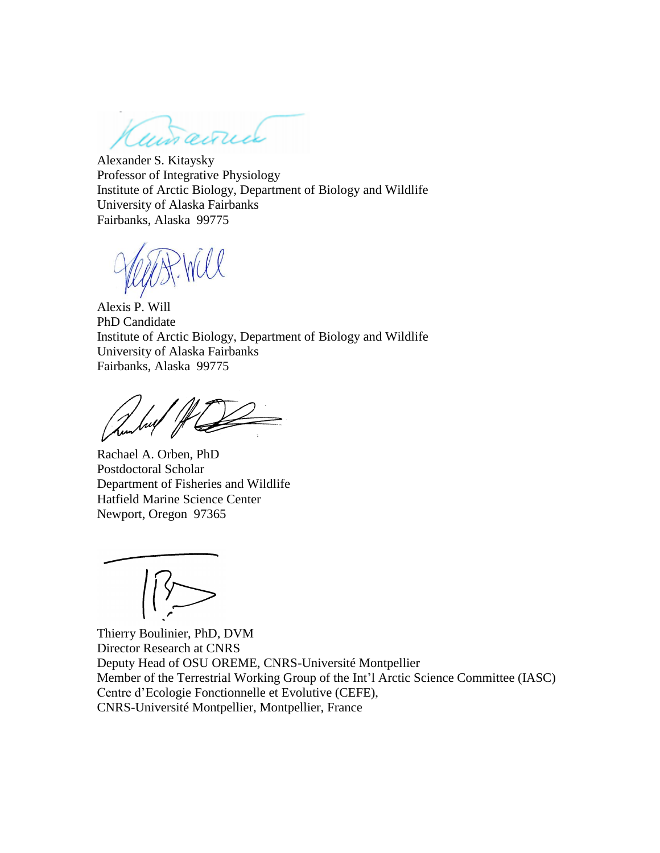ansance

Alexander S. Kitaysky Professor of Integrative Physiology Institute of Arctic Biology, Department of Biology and Wildlife University of Alaska Fairbanks Fairbanks, Alaska 99775

Alexis P. Will PhD Candidate Institute of Arctic Biology, Department of Biology and Wildlife University of Alaska Fairbanks Fairbanks, Alaska 99775

Rachael A. Orben, PhD Postdoctoral Scholar Department of Fisheries and Wildlife Hatfield Marine Science Center Newport, Oregon 97365

Thierry Boulinier, PhD, DVM Director Research at CNRS Deputy Head of OSU OREME, CNRS-Université Montpellier Member of the Terrestrial Working Group of the Int'l Arctic Science Committee (IASC) Centre d'Ecologie Fonctionnelle et Evolutive (CEFE), CNRS-Université Montpellier, Montpellier, France